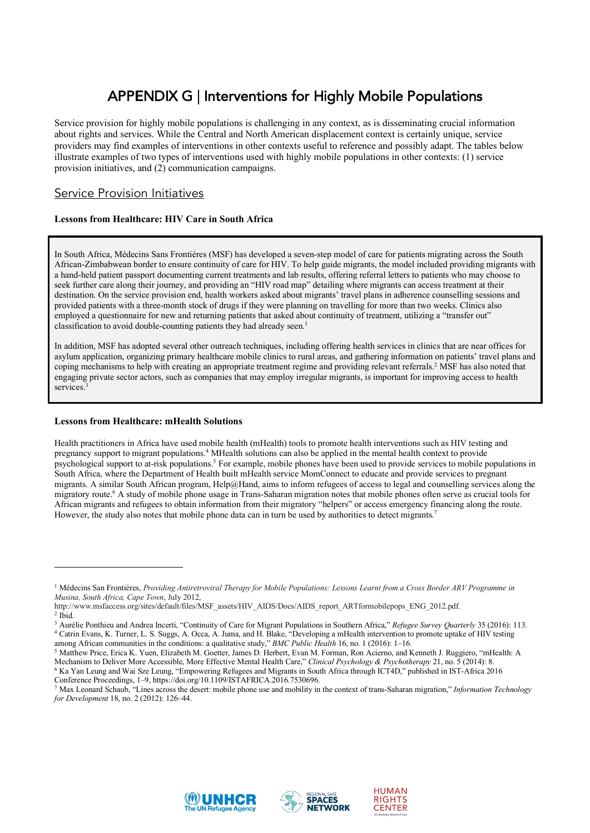# APPENDIX G | Interventions for Highly Mobile Populations

Service provision for highly mobile populations is challenging in any context, as is disseminating crucial information about rights and services. While the Central and North American displacement context is certainly unique, service providers may find examples of interventions in other contexts useful to reference and possibly adapt. The tables below illustrate examples of two types of interventions used with highly mobile populations in other contexts: (1) service provision initiatives, and (2) communication campaigns.

## Service Provision Initiatives

#### **Lessons from Healthcare: HIV Care in South Africa**

In South Africa, Médecins Sans Frontières (MSF) has developed a seven-step model of care for patients migrating across the South African-Zimbabwean border to ensure continuity of care for HIV. To help guide migrants, the model included providing migrants with a hand-held patient passport documenting current treatments and lab results, offering referral letters to patients who may choose to seek further care along their journey, and providing an "HIV road map" detailing where migrants can access treatment at their destination. On the service provision end, health workers asked about migrants' travel plans in adherence counselling sessions and provided patients with a three-month stock of drugs if they were planning on travelling for more than two weeks. Clinics also employed a questionnaire for new and returning patients that asked about continuity of treatment, utilizing a "transfer out" classification to avoid double-counting patients they had already seen.<sup>1</sup>

In addition, MSF has adopted several other outreach techniques, including offering health services in clinics that are near offices for asylum application, organizing primary healthcare mobile clinics to rural areas, and gathering information on patients' travel plans and coping mechanisms to help with creating an appropriate treatment regime and providing relevant referrals.<sup>2</sup> MSF has also noted that engaging private sector actors, such as companies that may employ irregular migrants, is important for improving access to health services<sup>3</sup>

#### **Lessons from Healthcare: mHealth Solutions**

 $\overline{a}$ 

Health practitioners in Africa have used mobile health (mHealth) tools to promote health interventions such as HIV testing and pregnancy support to migrant populations.4 MHealth solutions can also be applied in the mental health context to provide psychological support to at-risk populations.5 For example, mobile phones have been used to provide services to mobile populations in South Africa, where the Department of Health built mHealth service MomConnect to educate and provide services to pregnant migrants. A similar South African program, Help@Hand, aims to inform refugees of access to legal and counselling services along the migratory route.6 A study of mobile phone usage in Trans-Saharan migration notes that mobile phones often serve as crucial tools for African migrants and refugees to obtain information from their migratory "helpers" or access emergency financing along the route. However, the study also notes that mobile phone data can in turn be used by authorities to detect migrants.<sup>7</sup>







<sup>1</sup> Médecins San Frontières, *Providing Antiretroviral Therapy for Mobile Populations: Lessons Learnt from a Cross Border ARV Programme in Musina, South Africa, Cape Town*, July 2012,

http://www.msfaccess.org/sites/default/files/MSF\_assets/HIV\_AIDS/Docs/AIDS\_report\_ARTformobilepops\_ENG\_2012.pdf. <sup>2</sup> Ibid.

<sup>3</sup> Aurélie Ponthieu and Andrea Incerti, "Continuity of Care for Migrant Populations in Southern Africa," *Refugee Survey Quarterly* 35 (2016): 113. <sup>4</sup> Catrin Evans, K. Turner, L. S. Suggs, A. Occa, A. Juma, and H. Blake, "Developing a mHealth intervention to promote uptake of HIV testing among African communities in the conditions: a qualitative study," *BMC Public Health* 16, no. 1 (2016): 1–16.

<sup>5</sup> Matthew Price, Erica K. Yuen, Elizabeth M. Goetter, James D. Herbert, Evan M. Forman, Ron Acierno, and Kenneth J. Ruggiero, "mHealth: A Mechanism to Deliver More Accessible, More Effective Mental Health Care," *Clinical Psychology & Psychotherapy* 21, no. 5 (2014): 8.

<sup>6</sup> Ka Yan Leung and Wai Sze Leung, "Empowering Refugees and Migrants in South Africa through ICT4D," published in IST-Africa 2016 Conference Proceedings, 1–9, https://doi.org/10.1109/ISTAFRICA.2016.7530696.

<sup>7</sup> Max Leonard Schaub, "Lines across the desert: mobile phone use and mobility in the context of trans-Saharan migration," *Information Technology for Development* 18, no. 2 (2012): 126–44.